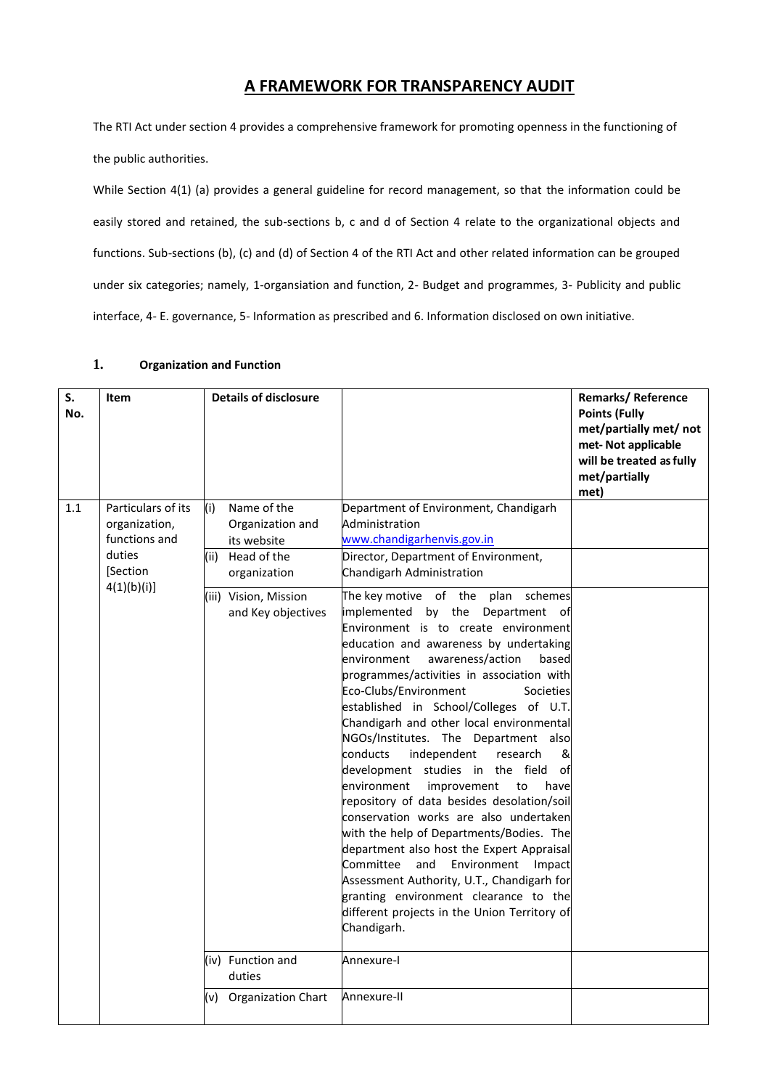### **A FRAMEWORK FOR TRANSPARENCY AUDIT**

The RTI Act under section 4 provides a comprehensive framework for promoting openness in the functioning of the public authorities.

While Section 4(1) (a) provides a general guideline for record management, so that the information could be easily stored and retained, the sub-sections b, c and d of Section 4 relate to the organizational objects and functions. Sub-sections (b), (c) and (d) of Section 4 of the RTI Act and other related information can be grouped under six categories; namely, 1-organsiation and function, 2- Budget and programmes, 3- Publicity and public interface, 4- E. governance, 5- Information as prescribed and 6. Information disclosed on own initiative.

### **1. Organization and Function**

| S.<br>No. | <b>Item</b>                                          | <b>Details of disclosure</b>                          |                                                                                                                                                                                                                                                                                                                                                                                                                                                                                                                                                                                                                                                                                                                                                                                                                                                                                                                                             | Remarks/Reference<br><b>Points (Fully</b><br>met/partially met/ not<br>met-Not applicable<br>will be treated as fully<br>met/partially<br>met) |
|-----------|------------------------------------------------------|-------------------------------------------------------|---------------------------------------------------------------------------------------------------------------------------------------------------------------------------------------------------------------------------------------------------------------------------------------------------------------------------------------------------------------------------------------------------------------------------------------------------------------------------------------------------------------------------------------------------------------------------------------------------------------------------------------------------------------------------------------------------------------------------------------------------------------------------------------------------------------------------------------------------------------------------------------------------------------------------------------------|------------------------------------------------------------------------------------------------------------------------------------------------|
| 1.1       | Particulars of its<br>organization,<br>functions and | Name of the<br>(i)<br>Organization and<br>its website | Department of Environment, Chandigarh<br>Administration<br>www.chandigarhenvis.gov.in                                                                                                                                                                                                                                                                                                                                                                                                                                                                                                                                                                                                                                                                                                                                                                                                                                                       |                                                                                                                                                |
|           | duties<br>[Section                                   | (ii) Head of the<br>organization                      | Director, Department of Environment,<br>Chandigarh Administration                                                                                                                                                                                                                                                                                                                                                                                                                                                                                                                                                                                                                                                                                                                                                                                                                                                                           |                                                                                                                                                |
|           | 4(1)(b)(i)                                           | (iii) Vision, Mission<br>and Key objectives           | plan<br>The key motive of the<br>schemes<br>implemented by the Department of<br>Environment is to create environment<br>education and awareness by undertaking<br>awareness/action<br>environment<br>based<br>programmes/activities in association with<br>Eco-Clubs/Environment<br>Societies<br>established in School/Colleges of U.T.<br>Chandigarh and other local environmental<br>NGOs/Institutes. The Department also<br>conducts<br>independent<br>&<br>research<br>development studies in the field of<br>environment<br>improvement<br>to<br>have<br>repository of data besides desolation/soil<br>conservation works are also undertaken<br>with the help of Departments/Bodies. The<br>department also host the Expert Appraisal<br>Committee<br>and<br>Environment Impact<br>Assessment Authority, U.T., Chandigarh for<br>granting environment clearance to the<br>different projects in the Union Territory of<br>Chandigarh. |                                                                                                                                                |
|           |                                                      | (iv) Function and<br>duties                           | Annexure-I                                                                                                                                                                                                                                                                                                                                                                                                                                                                                                                                                                                                                                                                                                                                                                                                                                                                                                                                  |                                                                                                                                                |
|           |                                                      | (v) Organization Chart                                | Annexure-II                                                                                                                                                                                                                                                                                                                                                                                                                                                                                                                                                                                                                                                                                                                                                                                                                                                                                                                                 |                                                                                                                                                |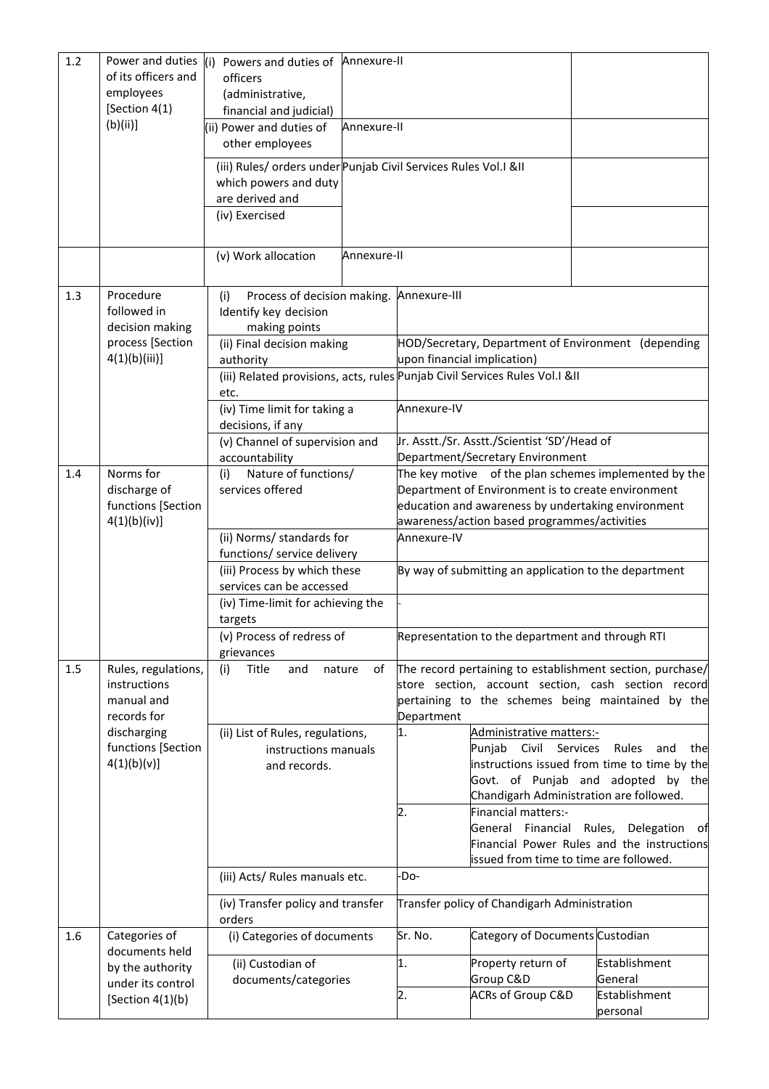| 1.2 | Power and duties<br>of its officers and<br>employees | Powers and duties of Annexure-II<br>(i)<br>officers<br>(administrative,                   |              |             |                                                    |                                                                     |
|-----|------------------------------------------------------|-------------------------------------------------------------------------------------------|--------------|-------------|----------------------------------------------------|---------------------------------------------------------------------|
|     | [Section 4(1)<br>(b)(ii)                             | financial and judicial)<br>(ii) Power and duties of                                       | Annexure-II  |             |                                                    |                                                                     |
|     |                                                      | other employees                                                                           |              |             |                                                    |                                                                     |
|     |                                                      | (iii) Rules/ orders under Punjab Civil Services Rules Vol.I &II<br>which powers and duty  |              |             |                                                    |                                                                     |
|     |                                                      | are derived and<br>(iv) Exercised                                                         |              |             |                                                    |                                                                     |
|     |                                                      |                                                                                           |              |             |                                                    |                                                                     |
|     |                                                      | (v) Work allocation                                                                       | Annexure-II  |             |                                                    |                                                                     |
| 1.3 | Procedure<br>followed in<br>decision making          | Process of decision making. Annexure-III<br>(i)<br>Identify key decision<br>making points |              |             |                                                    |                                                                     |
|     | process [Section                                     | (ii) Final decision making                                                                |              |             |                                                    | HOD/Secretary, Department of Environment (depending                 |
|     | $4(1)(b)(iii)$ ]                                     | authority                                                                                 |              |             | upon financial implication)                        |                                                                     |
|     |                                                      | (iii) Related provisions, acts, rules Punjab Civil Services Rules Vol.I &II<br>etc.       |              |             |                                                    |                                                                     |
|     |                                                      | (iv) Time limit for taking a<br>decisions, if any                                         |              | Annexure-IV |                                                    |                                                                     |
|     |                                                      | (v) Channel of supervision and                                                            |              |             | Ir. Asstt./Sr. Asstt./Scientist 'SD'/Head of       |                                                                     |
| 1.4 | Norms for                                            | accountability<br>Nature of functions/                                                    |              |             | Department/Secretary Environment                   | The key motive of the plan schemes implemented by the               |
|     | discharge of                                         | (i)<br>services offered                                                                   |              |             | Department of Environment is to create environment |                                                                     |
|     | functions [Section                                   |                                                                                           |              |             | education and awareness by undertaking environment |                                                                     |
|     | 4(1)(b)(iv)]                                         | (ii) Norms/ standards for                                                                 |              | Annexure-IV | awareness/action based programmes/activities       |                                                                     |
|     |                                                      | functions/ service delivery                                                               |              |             |                                                    |                                                                     |
|     |                                                      | (iii) Process by which these                                                              |              |             |                                                    | By way of submitting an application to the department               |
|     |                                                      | services can be accessed<br>(iv) Time-limit for achieving the                             |              |             |                                                    |                                                                     |
|     |                                                      | targets                                                                                   |              |             |                                                    |                                                                     |
|     |                                                      | (v) Process of redress of                                                                 |              |             | Representation to the department and through RTI   |                                                                     |
| 1.5 | Rules, regulations,                                  | grievances<br>Title<br>(i)<br>and                                                         | nature<br>of |             |                                                    | The record pertaining to establishment section, purchase/           |
|     | instructions                                         |                                                                                           |              |             |                                                    | store section, account section, cash section record                 |
|     | manual and<br>records for                            |                                                                                           |              | Department  |                                                    | pertaining to the schemes being maintained by the                   |
|     | discharging                                          | (ii) List of Rules, regulations,                                                          |              | 1.          | Administrative matters:-                           |                                                                     |
|     | functions [Section<br>4(1)(b)(v)]                    | instructions manuals                                                                      |              |             | Punjab Civil Services                              | Rules<br>and<br>the<br>instructions issued from time to time by the |
|     |                                                      | and records.                                                                              |              |             |                                                    | Govt. of Punjab and adopted by the                                  |
|     |                                                      |                                                                                           |              |             |                                                    | Chandigarh Administration are followed.                             |
|     |                                                      |                                                                                           |              | 2.          | Financial matters:-<br>General Financial           | Rules, Delegation<br>of                                             |
|     |                                                      |                                                                                           |              |             |                                                    | Financial Power Rules and the instructions                          |
|     |                                                      | (iii) Acts/ Rules manuals etc.                                                            |              | -Do-        | issued from time to time are followed.             |                                                                     |
|     |                                                      | (iv) Transfer policy and transfer<br>orders                                               |              |             | Transfer policy of Chandigarh Administration       |                                                                     |
| 1.6 | Categories of<br>documents held                      | (i) Categories of documents                                                               |              | Sr. No.     | Category of Documents Custodian                    |                                                                     |
|     | by the authority                                     | (ii) Custodian of                                                                         |              | 1.          | Property return of                                 | Establishment                                                       |
|     | under its control<br>[Section $4(1)(b)$              | documents/categories                                                                      |              | 2.          | Group C&D<br><b>ACRs of Group C&amp;D</b>          | General<br>Establishment                                            |
|     |                                                      |                                                                                           |              |             |                                                    | personal                                                            |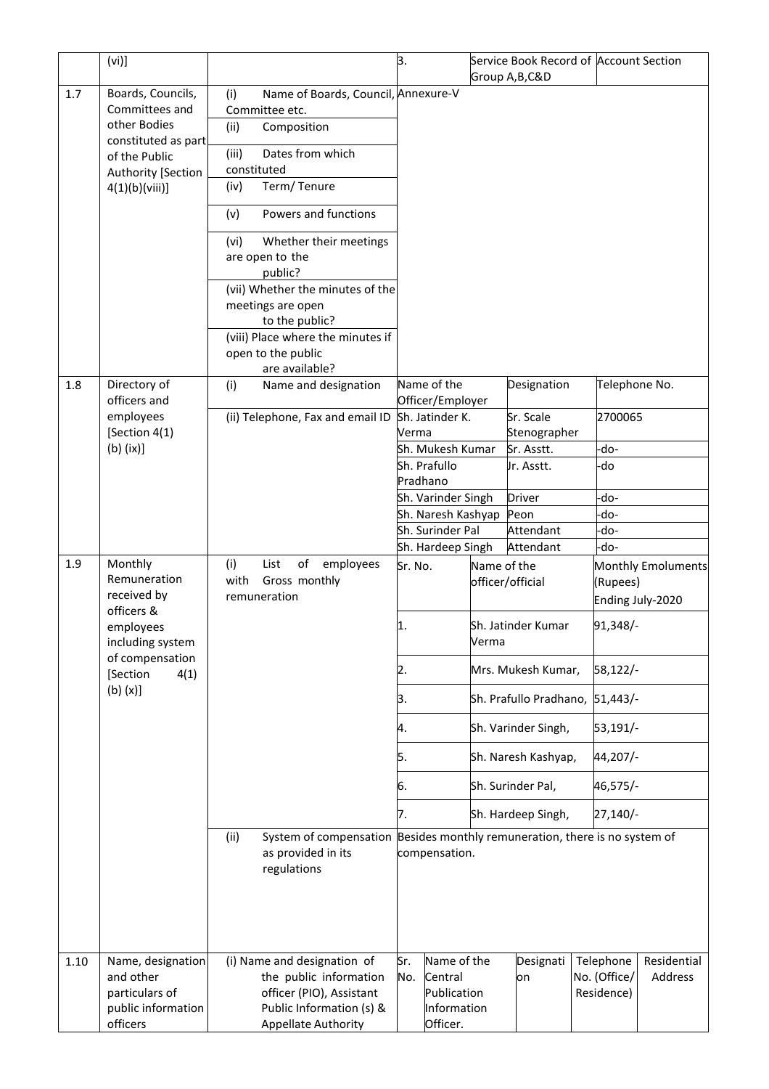|      | (vi)]                               |                                                                                    | 3.      |                                        |             | Service Book Record of Account Section |               |                           |
|------|-------------------------------------|------------------------------------------------------------------------------------|---------|----------------------------------------|-------------|----------------------------------------|---------------|---------------------------|
|      |                                     |                                                                                    |         |                                        |             | Group A, B, C&D                        |               |                           |
| 1.7  | Boards, Councils,                   | Name of Boards, Council, Annexure-V<br>(i)                                         |         |                                        |             |                                        |               |                           |
|      | Committees and                      | Committee etc.                                                                     |         |                                        |             |                                        |               |                           |
|      | other Bodies<br>constituted as part | (ii)<br>Composition                                                                |         |                                        |             |                                        |               |                           |
|      | of the Public                       | Dates from which<br>(iii)                                                          |         |                                        |             |                                        |               |                           |
|      | Authority [Section                  | constituted                                                                        |         |                                        |             |                                        |               |                           |
|      | 4(1)(b)(viii)]                      | Term/Tenure<br>(iv)                                                                |         |                                        |             |                                        |               |                           |
|      |                                     | Powers and functions<br>(v)                                                        |         |                                        |             |                                        |               |                           |
|      |                                     | Whether their meetings<br>(vi)                                                     |         |                                        |             |                                        |               |                           |
|      |                                     | are open to the                                                                    |         |                                        |             |                                        |               |                           |
|      |                                     | public?                                                                            |         |                                        |             |                                        |               |                           |
|      |                                     | (vii) Whether the minutes of the                                                   |         |                                        |             |                                        |               |                           |
|      |                                     | meetings are open<br>to the public?                                                |         |                                        |             |                                        |               |                           |
|      |                                     | (viii) Place where the minutes if                                                  |         |                                        |             |                                        |               |                           |
|      |                                     | open to the public                                                                 |         |                                        |             |                                        |               |                           |
|      |                                     | are available?                                                                     |         |                                        |             |                                        |               |                           |
| 1.8  | Directory of                        | (i)<br>Name and designation                                                        |         | Name of the                            |             | Designation                            | Telephone No. |                           |
|      | officers and                        |                                                                                    |         | Officer/Employer                       |             |                                        |               |                           |
|      | employees                           | (ii) Telephone, Fax and email ID                                                   |         | Sh. Jatinder K.                        |             | Sr. Scale                              | 2700065       |                           |
|      | [Section 4(1)                       |                                                                                    | Verma   |                                        |             | Stenographer                           |               |                           |
|      | $(b)$ (ix)]                         |                                                                                    |         | Sh. Mukesh Kumar                       |             | Sr. Asstt.                             | -do-          |                           |
|      |                                     |                                                                                    |         | Sh. Prafullo                           |             | Jr. Asstt.                             | -do           |                           |
|      |                                     |                                                                                    |         | Pradhano                               |             |                                        |               |                           |
|      |                                     |                                                                                    |         | Sh. Varinder Singh                     |             | <b>Driver</b>                          | -do-<br>-do-  |                           |
|      |                                     |                                                                                    |         | Sh. Naresh Kashyap<br>Sh. Surinder Pal |             | Peon<br>Attendant                      | -do-          |                           |
|      |                                     |                                                                                    |         |                                        |             |                                        | -do-          |                           |
| 1.9  | Monthly                             | $\mathsf{of}$                                                                      |         | Sh. Hardeep Singh                      |             | Attendant                              |               |                           |
|      | Remuneration                        | (i)<br>List<br>employees<br>Gross monthly<br>with                                  | Sr. No. |                                        | Name of the |                                        |               | <b>Monthly Emoluments</b> |
|      | received by                         | remuneration                                                                       |         |                                        |             | officer/official                       | (Rupees)      |                           |
|      | officers &                          |                                                                                    |         |                                        |             |                                        |               | Ending July-2020          |
|      | employees                           |                                                                                    | 1.      |                                        |             | Sh. Jatinder Kumar                     | 91,348/-      |                           |
|      | including system                    |                                                                                    |         |                                        | Verma       |                                        |               |                           |
|      | of compensation<br>[Section<br>4(1) |                                                                                    | 2.      |                                        |             | Mrs. Mukesh Kumar,                     | 58,122/-      |                           |
|      | $(b)$ $(x)$ ]                       |                                                                                    | 3.      |                                        |             | Sh. Prafullo Pradhano,                 | 51,443/       |                           |
|      |                                     |                                                                                    | 4.      |                                        |             | Sh. Varinder Singh,                    | 53,191/-      |                           |
|      |                                     |                                                                                    |         |                                        |             |                                        |               |                           |
|      |                                     |                                                                                    | 5.      |                                        |             | Sh. Naresh Kashyap,                    | 44,207/-      |                           |
|      |                                     |                                                                                    | 6.      |                                        |             | Sh. Surinder Pal,                      | 46,575/-      |                           |
|      |                                     |                                                                                    | 7.      |                                        |             | Sh. Hardeep Singh,                     | $27,140/-$    |                           |
|      |                                     | System of compensation Besides monthly remuneration, there is no system of<br>(ii) |         |                                        |             |                                        |               |                           |
|      |                                     | as provided in its                                                                 |         | compensation.                          |             |                                        |               |                           |
|      |                                     | regulations                                                                        |         |                                        |             |                                        |               |                           |
|      |                                     |                                                                                    |         |                                        |             |                                        |               |                           |
|      |                                     |                                                                                    |         |                                        |             |                                        |               |                           |
|      |                                     |                                                                                    |         |                                        |             |                                        |               |                           |
|      |                                     |                                                                                    |         |                                        |             |                                        |               |                           |
| 1.10 | Name, designation                   | (i) Name and designation of                                                        | Sr.     | Name of the                            |             | Designati                              | Telephone     | Residential               |
|      | and other                           | the public information                                                             | No.     | Central                                |             | on                                     | No. (Office/  | Address                   |
|      | particulars of                      | officer (PIO), Assistant                                                           |         | Publication                            |             |                                        | Residence)    |                           |
|      | public information                  | Public Information (s) &                                                           |         | Information                            |             |                                        |               |                           |
|      | officers                            | Appellate Authority                                                                |         | Officer.                               |             |                                        |               |                           |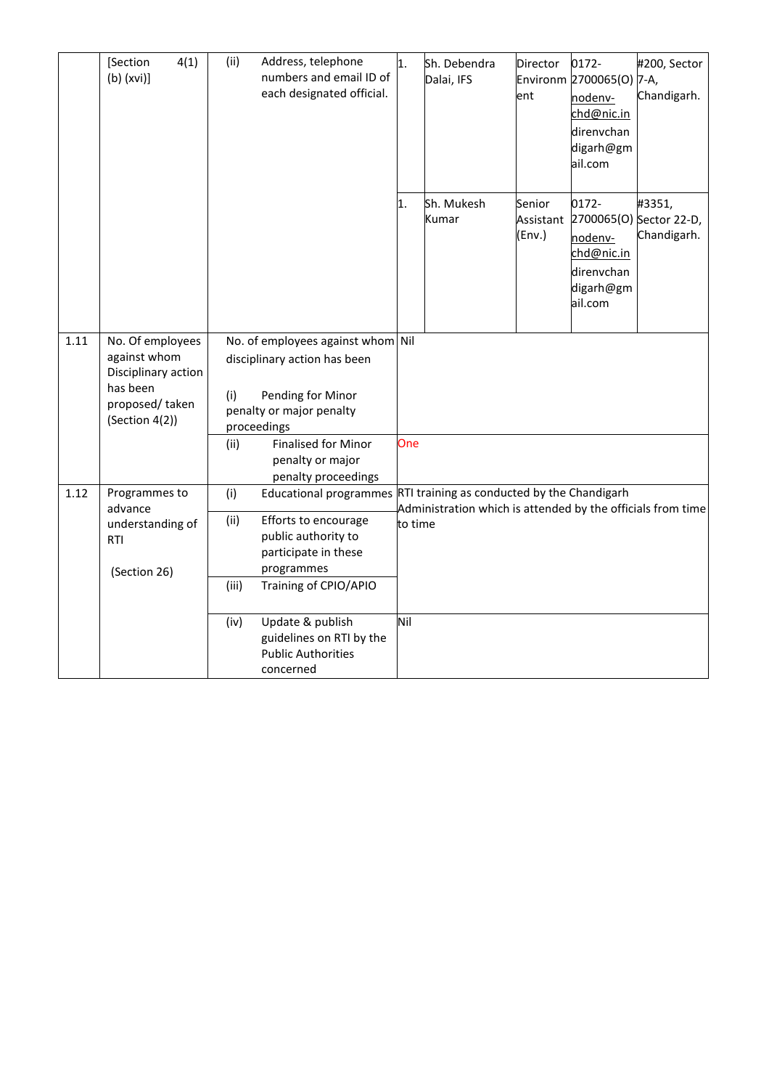|      | 4(1)<br>[Section<br>$(b)$ (xvi)]                                                                        | (ii)<br>Address, telephone<br>numbers and email ID of<br>each designated official.                                                                                                                       | 1.      | Sh. Debendra<br>Dalai, IFS                                  | Director<br>ent               | 0172-<br>Environm 2700065(O) 7-A,<br>nodenv-<br>chd@nic.in<br>direnvchan<br>digarh@gm<br>ail.com | #200, Sector<br>Chandigarh.                      |
|------|---------------------------------------------------------------------------------------------------------|----------------------------------------------------------------------------------------------------------------------------------------------------------------------------------------------------------|---------|-------------------------------------------------------------|-------------------------------|--------------------------------------------------------------------------------------------------|--------------------------------------------------|
|      |                                                                                                         |                                                                                                                                                                                                          | 1.      | Sh. Mukesh<br>Kumar                                         | Senior<br>Assistant<br>(Env.) | 0172-<br>nodenv-<br>chd@nic.in<br>direnvchan<br>digarh@gm<br>ail.com                             | #3351,<br>2700065(O) Sector 22-D,<br>Chandigarh. |
| 1.11 | No. Of employees<br>against whom<br>Disciplinary action<br>has been<br>proposed/taken<br>(Section 4(2)) | No. of employees against whom Nil<br>disciplinary action has been<br>Pending for Minor<br>(i)<br>penalty or major penalty<br>proceedings                                                                 |         |                                                             |                               |                                                                                                  |                                                  |
|      |                                                                                                         | <b>Finalised for Minor</b><br>(ii)<br>penalty or major<br>penalty proceedings                                                                                                                            | One     |                                                             |                               |                                                                                                  |                                                  |
| 1.12 | Programmes to<br>advance<br>understanding of<br><b>RTI</b><br>(Section 26)                              | Educational programmes RTI training as conducted by the Chandigarh<br>(i)<br>Efforts to encourage<br>(ii)<br>public authority to<br>participate in these<br>programmes<br>(iii)<br>Training of CPIO/APIO | to time | Administration which is attended by the officials from time |                               |                                                                                                  |                                                  |
|      |                                                                                                         | Update & publish<br>(iv)<br>guidelines on RTI by the<br><b>Public Authorities</b><br>concerned                                                                                                           | Nil     |                                                             |                               |                                                                                                  |                                                  |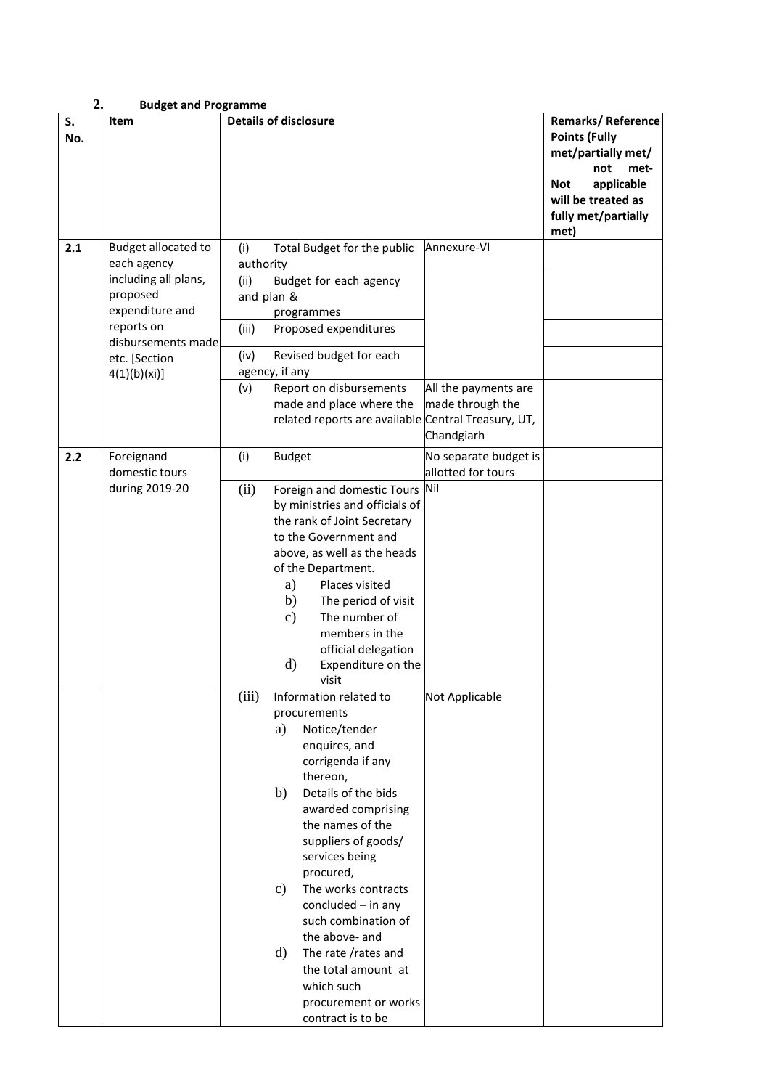| 2.        | <b>Budget and Programme</b>                                                                                                                                    |                                                                                                                                                                                                                                                                                                                                                                                                                                                                                                 |                                                                                                                                                          |
|-----------|----------------------------------------------------------------------------------------------------------------------------------------------------------------|-------------------------------------------------------------------------------------------------------------------------------------------------------------------------------------------------------------------------------------------------------------------------------------------------------------------------------------------------------------------------------------------------------------------------------------------------------------------------------------------------|----------------------------------------------------------------------------------------------------------------------------------------------------------|
| S.<br>No. | Item                                                                                                                                                           | <b>Details of disclosure</b>                                                                                                                                                                                                                                                                                                                                                                                                                                                                    | Remarks/Reference<br><b>Points (Fully</b><br>met/partially met/<br>not<br>met-<br>applicable<br>Not<br>will be treated as<br>fully met/partially<br>met) |
| 2.1       | Budget allocated to<br>each agency<br>including all plans,<br>proposed<br>expenditure and<br>reports on<br>disbursements made<br>etc. [Section<br>4(1)(b)(xi)] | Annexure-VI<br>(i)<br>Total Budget for the public<br>authority<br>Budget for each agency<br>(ii)<br>and plan &<br>programmes<br>(iii)<br>Proposed expenditures<br>(iv)<br>Revised budget for each<br>agency, if any<br>(v)<br>Report on disbursements<br>All the payments are<br>made and place where the<br>made through the<br>related reports are available Central Treasury, UT,<br>Chandgiarh                                                                                              |                                                                                                                                                          |
| 2.2       | Foreignand<br>domestic tours<br>during 2019-20                                                                                                                 | (i)<br><b>Budget</b><br>No separate budget is<br>allotted for tours<br>(ii)<br>Foreign and domestic Tours Nil<br>by ministries and officials of<br>the rank of Joint Secretary<br>to the Government and<br>above, as well as the heads<br>of the Department.<br>Places visited<br>a)<br>b)<br>The period of visit<br>The number of<br>$\mathbf{c})$<br>members in the<br>official delegation<br>$\rm d)$<br>Expenditure on the<br>visit                                                         |                                                                                                                                                          |
|           |                                                                                                                                                                | (iii)<br>Not Applicable<br>Information related to<br>procurements<br>Notice/tender<br>a)<br>enquires, and<br>corrigenda if any<br>thereon,<br>b)<br>Details of the bids<br>awarded comprising<br>the names of the<br>suppliers of goods/<br>services being<br>procured,<br>The works contracts<br>$\mathbf{c})$<br>concluded $-$ in any<br>such combination of<br>the above- and<br>The rate /rates and<br>d)<br>the total amount at<br>which such<br>procurement or works<br>contract is to be |                                                                                                                                                          |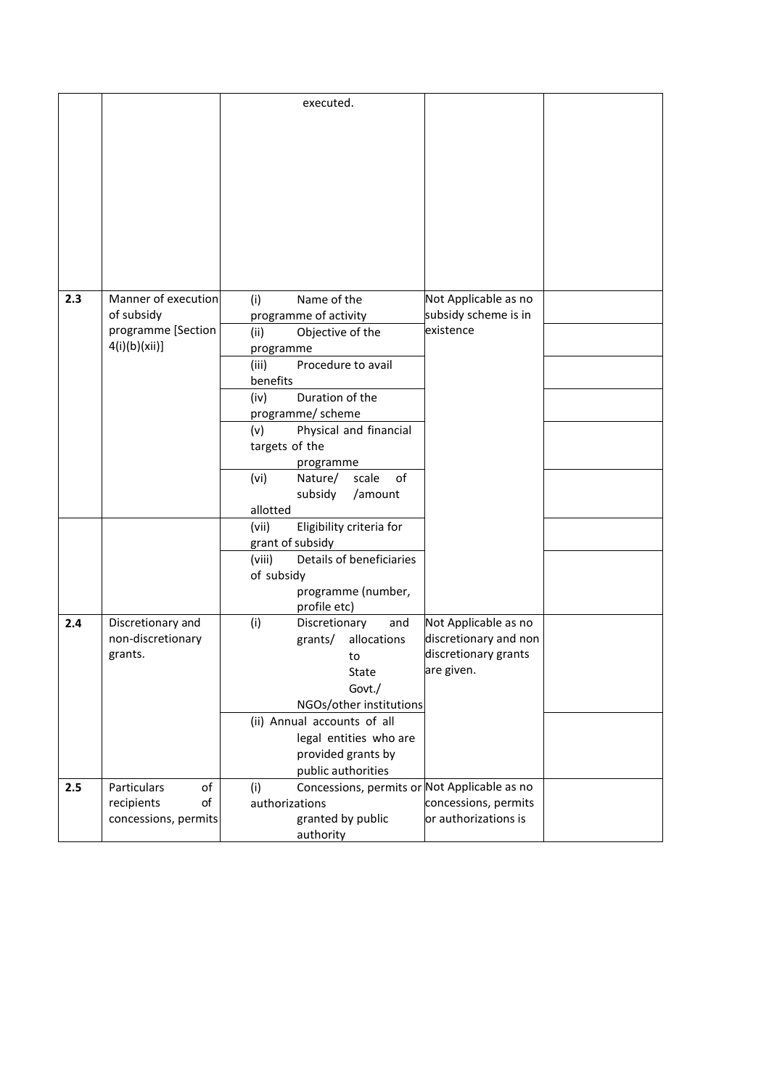|     |                      | executed.                                           |                       |  |
|-----|----------------------|-----------------------------------------------------|-----------------------|--|
|     |                      |                                                     |                       |  |
|     |                      |                                                     |                       |  |
|     |                      |                                                     |                       |  |
|     |                      |                                                     |                       |  |
|     |                      |                                                     |                       |  |
|     |                      |                                                     |                       |  |
|     |                      |                                                     |                       |  |
|     |                      |                                                     |                       |  |
|     |                      |                                                     |                       |  |
|     |                      |                                                     |                       |  |
|     |                      |                                                     |                       |  |
|     |                      |                                                     |                       |  |
| 2.3 | Manner of execution  | Name of the<br>(i)                                  | Not Applicable as no  |  |
|     | of subsidy           | programme of activity                               | subsidy scheme is in  |  |
|     | programme [Section   | Objective of the<br>(ii)                            | existence             |  |
|     | 4(i)(b)(xii)]        | programme                                           |                       |  |
|     |                      | Procedure to avail<br>(iii)                         |                       |  |
|     |                      | benefits                                            |                       |  |
|     |                      | (iv)<br>Duration of the                             |                       |  |
|     |                      | programme/ scheme                                   |                       |  |
|     |                      | Physical and financial<br>(v)                       |                       |  |
|     |                      | targets of the                                      |                       |  |
|     |                      | programme                                           |                       |  |
|     |                      | (vi)<br>Nature/<br>scale<br>of                      |                       |  |
|     |                      | subsidy<br>/amount                                  |                       |  |
|     |                      | allotted                                            |                       |  |
|     |                      | Eligibility criteria for<br>(vii)                   |                       |  |
|     |                      | grant of subsidy                                    |                       |  |
|     |                      | Details of beneficiaries<br>(viii)                  |                       |  |
|     |                      | of subsidy                                          |                       |  |
|     |                      | programme (number,                                  |                       |  |
|     |                      | profile etc)                                        |                       |  |
| 2.4 | Discretionary and    | (i)<br>Discretionary<br>and                         | Not Applicable as no  |  |
|     | non-discretionary    | grants/<br>allocations                              | discretionary and non |  |
|     | grants.              | to                                                  | discretionary grants  |  |
|     |                      | State                                               | are given.            |  |
|     |                      | Govt./                                              |                       |  |
|     |                      | NGOs/other institutions                             |                       |  |
|     |                      | (ii) Annual accounts of all                         |                       |  |
|     |                      | legal entities who are                              |                       |  |
|     |                      | provided grants by                                  |                       |  |
|     |                      | public authorities                                  |                       |  |
| 2.5 | Particulars<br>of    | Concessions, permits or Not Applicable as no<br>(i) |                       |  |
|     | of<br>recipients     | authorizations                                      | concessions, permits  |  |
|     | concessions, permits | granted by public                                   | or authorizations is  |  |
|     |                      | authority                                           |                       |  |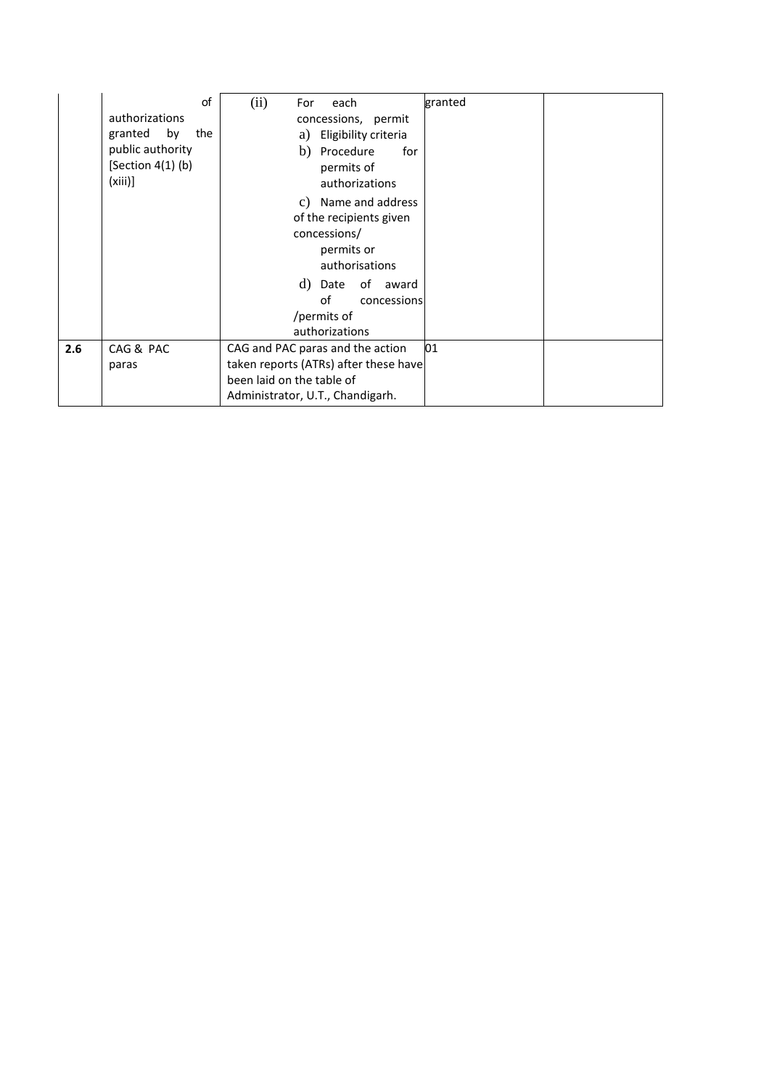|     | of<br>authorizations<br>by<br>granted<br>the<br>public authority<br>$[Section 4(1)$ (b)<br>$(xiii)$ ] | (ii)<br>each<br>For<br>concessions, permit<br>Eligibility criteria<br>a)<br>b)<br>Procedure<br>for<br>permits of<br>authorizations                                          | granted |  |
|-----|-------------------------------------------------------------------------------------------------------|-----------------------------------------------------------------------------------------------------------------------------------------------------------------------------|---------|--|
|     |                                                                                                       | Name and address<br>C)<br>of the recipients given<br>concessions/<br>permits or<br>authorisations<br>d) Date of award<br>of<br>concessions<br>/permits of<br>authorizations |         |  |
| 2.6 | CAG & PAC<br>paras                                                                                    | CAG and PAC paras and the action<br>taken reports (ATRs) after these have                                                                                                   | 01      |  |
|     |                                                                                                       | been laid on the table of<br>Administrator, U.T., Chandigarh.                                                                                                               |         |  |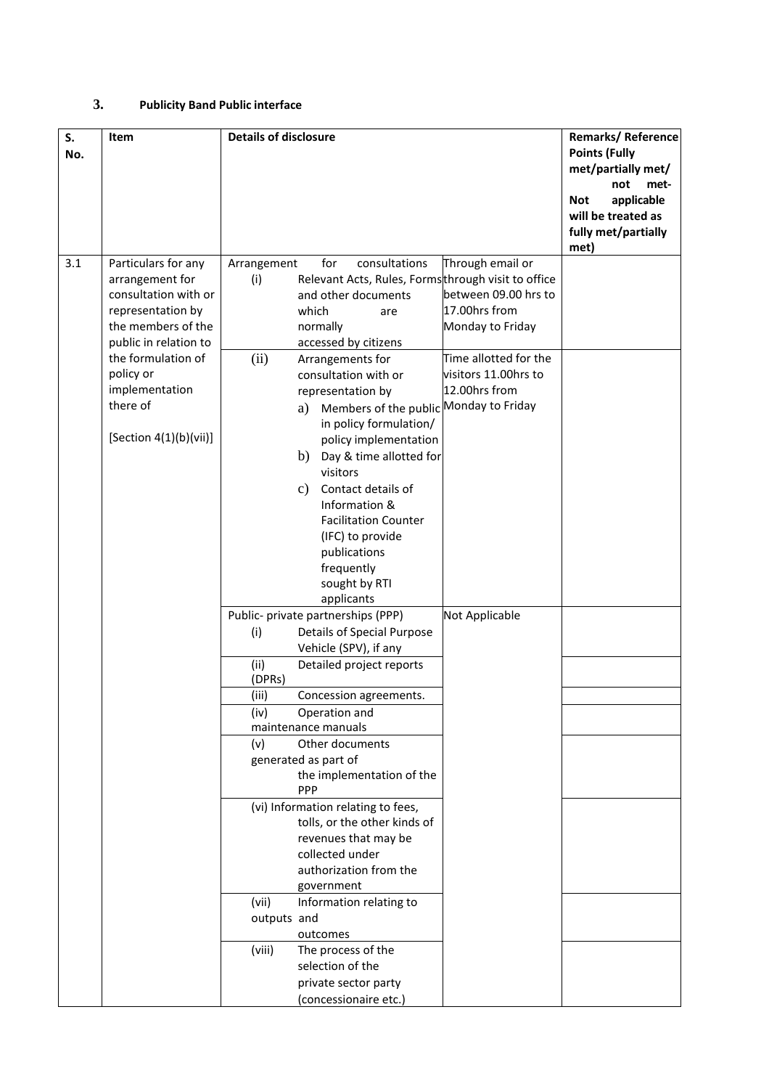### **3. Publicity Band Public interface**

| S.<br>No. | Item                                                                                                                                                                                                                          | <b>Details of disclosure</b>                                                                                                                                                                                                                                                                                                                                                                                                                                                                                                                                                                                                                                                                                                                                                                                                                                                                                                                                                                                                                                                                                                                                                                                                                                                                                                                                                 | Remarks/Reference<br><b>Points (Fully</b><br>met/partially met/<br>not<br>met-<br>applicable<br><b>Not</b><br>will be treated as<br>fully met/partially<br>met) |
|-----------|-------------------------------------------------------------------------------------------------------------------------------------------------------------------------------------------------------------------------------|------------------------------------------------------------------------------------------------------------------------------------------------------------------------------------------------------------------------------------------------------------------------------------------------------------------------------------------------------------------------------------------------------------------------------------------------------------------------------------------------------------------------------------------------------------------------------------------------------------------------------------------------------------------------------------------------------------------------------------------------------------------------------------------------------------------------------------------------------------------------------------------------------------------------------------------------------------------------------------------------------------------------------------------------------------------------------------------------------------------------------------------------------------------------------------------------------------------------------------------------------------------------------------------------------------------------------------------------------------------------------|-----------------------------------------------------------------------------------------------------------------------------------------------------------------|
| 3.1       | Particulars for any<br>arrangement for<br>consultation with or<br>representation by<br>the members of the<br>public in relation to<br>the formulation of<br>policy or<br>implementation<br>there of<br>[Section 4(1)(b)(vii)] | Through email or<br>Arrangement<br>for<br>consultations<br>Relevant Acts, Rules, Formsthrough visit to office<br>(i)<br>and other documents<br>between 09.00 hrs to<br>17.00hrs from<br>which<br>are<br>Monday to Friday<br>normally<br>accessed by citizens<br>Time allotted for the<br>(ii)<br>Arrangements for<br>visitors 11.00hrs to<br>consultation with or<br>12.00hrs from<br>representation by<br>Members of the public Monday to Friday<br>a)<br>in policy formulation/<br>policy implementation<br>Day & time allotted for<br>b)<br>visitors<br>Contact details of<br>c)<br>Information &<br><b>Facilitation Counter</b><br>(IFC) to provide<br>publications<br>frequently<br>sought by RTI<br>applicants<br>Not Applicable<br>Public- private partnerships (PPP)<br><b>Details of Special Purpose</b><br>(i)<br>Vehicle (SPV), if any<br>(ii)<br>Detailed project reports<br>(DPRs)<br>(iii)<br>Concession agreements.<br>(iv)<br>Operation and<br>maintenance manuals<br>Other documents<br>(v)<br>generated as part of<br>the implementation of the<br>PPP<br>(vi) Information relating to fees,<br>tolls, or the other kinds of<br>revenues that may be<br>collected under<br>authorization from the<br>government<br>(vii)<br>Information relating to<br>outputs and<br>outcomes<br>The process of the<br>(viii)<br>selection of the<br>private sector party |                                                                                                                                                                 |
|           |                                                                                                                                                                                                                               | (concessionaire etc.)                                                                                                                                                                                                                                                                                                                                                                                                                                                                                                                                                                                                                                                                                                                                                                                                                                                                                                                                                                                                                                                                                                                                                                                                                                                                                                                                                        |                                                                                                                                                                 |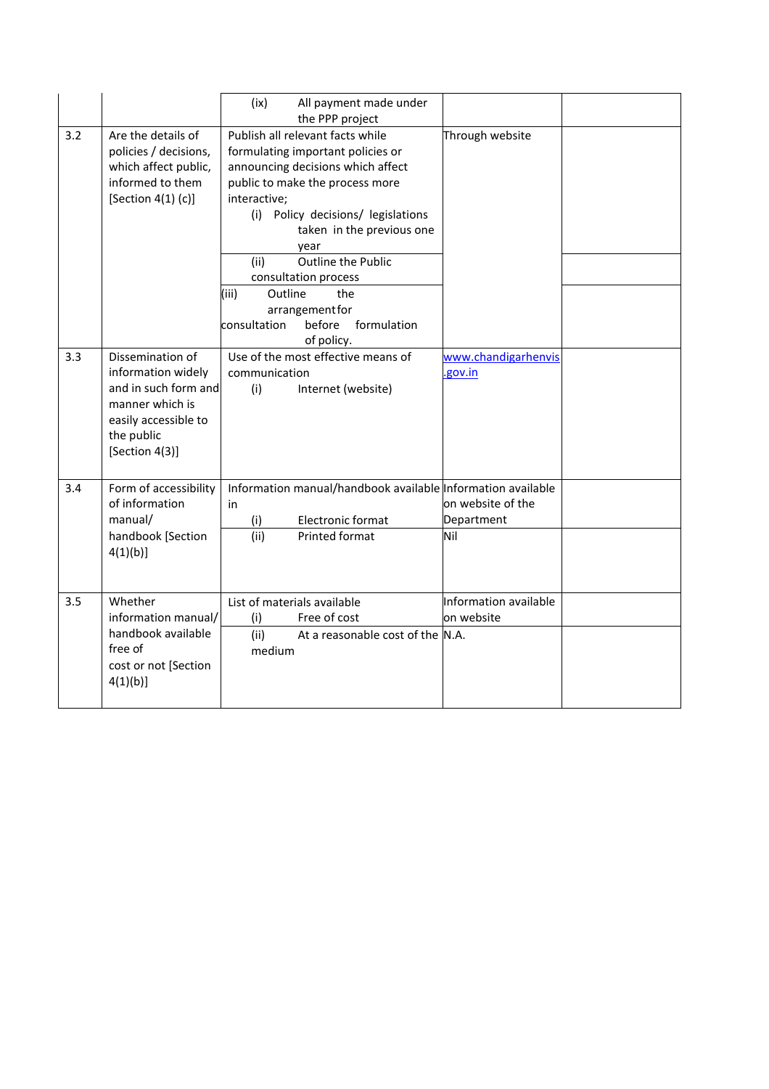|     |                                                                                                                                           | (ix)<br>All payment made under<br>the PPP project                                                                                                                                                                                                                                                                                                                                                          |                                        |
|-----|-------------------------------------------------------------------------------------------------------------------------------------------|------------------------------------------------------------------------------------------------------------------------------------------------------------------------------------------------------------------------------------------------------------------------------------------------------------------------------------------------------------------------------------------------------------|----------------------------------------|
| 3.2 | Are the details of<br>policies / decisions,<br>which affect public,<br>informed to them<br>[Section $4(1)$ (c)]                           | Publish all relevant facts while<br>formulating important policies or<br>announcing decisions which affect<br>public to make the process more<br>interactive;<br>(i) Policy decisions/ legislations<br>taken in the previous one<br>year<br><b>Outline the Public</b><br>(ii)<br>consultation process<br>Outline<br>(iii)<br>the<br>arrangement for<br>formulation<br>consultation<br>before<br>of policy. | Through website                        |
| 3.3 | Dissemination of<br>information widely<br>and in such form and<br>manner which is<br>easily accessible to<br>the public<br>[Section 4(3)] | Use of the most effective means of<br>communication<br>(i)<br>Internet (website)                                                                                                                                                                                                                                                                                                                           | www.chandigarhenvis<br>.gov.in         |
| 3.4 | Form of accessibility<br>of information<br>manual/<br>handbook [Section<br>4(1)(b)                                                        | Information manual/handbook available Information available<br>in<br>Electronic format<br>(i)<br>(ii)<br>Printed format                                                                                                                                                                                                                                                                                    | on website of the<br>Department<br>Nil |
| 3.5 | Whether<br>information manual/<br>handbook available<br>free of<br>cost or not [Section<br>$4(1)(b)$ ]                                    | List of materials available<br>(i)<br>Free of cost<br>(ii)<br>At a reasonable cost of the N.A.<br>medium                                                                                                                                                                                                                                                                                                   | Information available<br>on website    |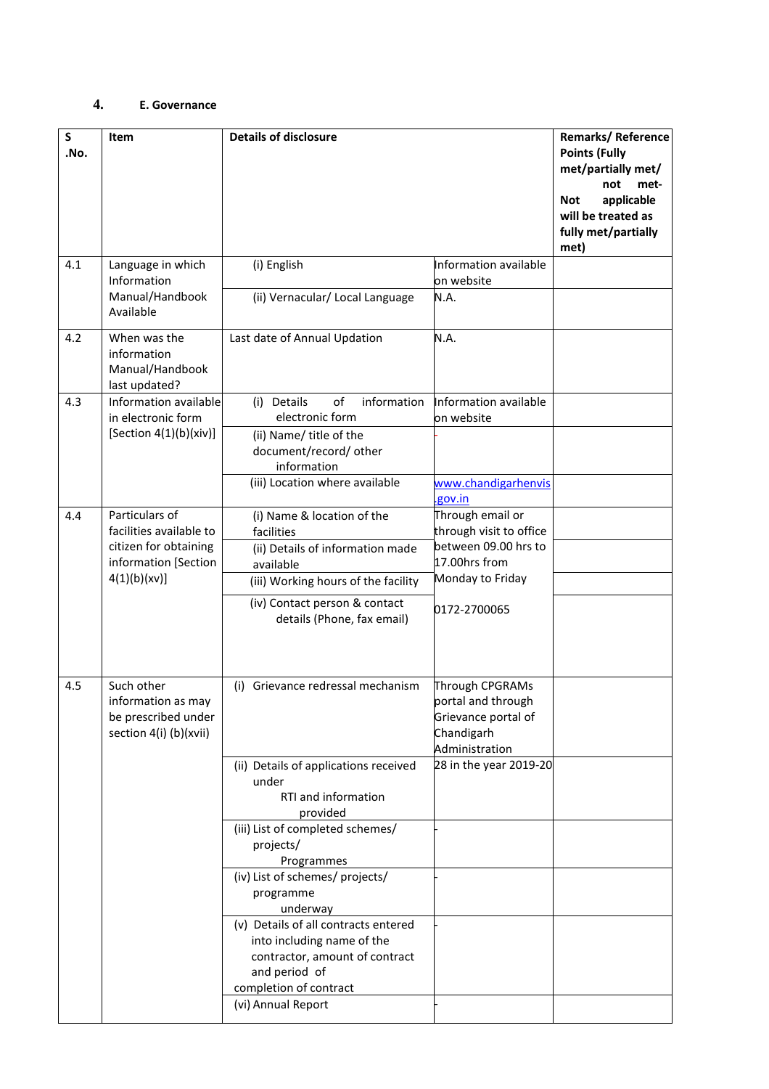## **4. E. Governance**

| $\mathsf{s}$<br>.No. | Item                                                                              | <b>Details of disclosure</b>                                                                                                                    |                                                                                              | <b>Remarks/Reference</b><br><b>Points (Fully</b><br>met/partially met/<br>not<br>met-<br>applicable<br>Not<br>will be treated as<br>fully met/partially<br>met) |
|----------------------|-----------------------------------------------------------------------------------|-------------------------------------------------------------------------------------------------------------------------------------------------|----------------------------------------------------------------------------------------------|-----------------------------------------------------------------------------------------------------------------------------------------------------------------|
| 4.1                  | Language in which<br>Information                                                  | (i) English                                                                                                                                     | Information available<br>on website                                                          |                                                                                                                                                                 |
|                      | Manual/Handbook<br>Available                                                      | (ii) Vernacular/ Local Language                                                                                                                 | N.A.                                                                                         |                                                                                                                                                                 |
| 4.2                  | When was the<br>information<br>Manual/Handbook<br>last updated?                   | Last date of Annual Updation                                                                                                                    | N.A.                                                                                         |                                                                                                                                                                 |
| 4.3                  | Information available<br>in electronic form                                       | (i) Details<br>οf<br>information<br>electronic form                                                                                             | Information available<br>on website                                                          |                                                                                                                                                                 |
|                      | [Section 4(1)(b)(xiv)]                                                            | (ii) Name/ title of the<br>document/record/ other<br>information                                                                                |                                                                                              |                                                                                                                                                                 |
|                      |                                                                                   | (iii) Location where available                                                                                                                  | www.chandigarhenvis<br>gov.in                                                                |                                                                                                                                                                 |
| 4.4                  | Particulars of<br>facilities available to                                         | (i) Name & location of the<br>facilities                                                                                                        | Through email or<br>through visit to office                                                  |                                                                                                                                                                 |
|                      | citizen for obtaining<br>information [Section<br>4(1)(b)(xv)]                     | (ii) Details of information made<br>available                                                                                                   | between 09.00 hrs to<br>17.00hrs from<br>Monday to Friday                                    |                                                                                                                                                                 |
|                      |                                                                                   | (iii) Working hours of the facility                                                                                                             |                                                                                              |                                                                                                                                                                 |
|                      |                                                                                   | (iv) Contact person & contact<br>details (Phone, fax email)                                                                                     | 0172-2700065                                                                                 |                                                                                                                                                                 |
| 4.5                  | Such other<br>information as may<br>be prescribed under<br>section 4(i) (b)(xvii) | Grievance redressal mechanism<br>(i)                                                                                                            | Through CPGRAMs<br>portal and through<br>Grievance portal of<br>Chandigarh<br>Administration |                                                                                                                                                                 |
|                      |                                                                                   | (ii) Details of applications received<br>under<br>RTI and information<br>provided                                                               | 28 in the year 2019-20                                                                       |                                                                                                                                                                 |
|                      |                                                                                   | (iii) List of completed schemes/<br>projects/<br>Programmes                                                                                     |                                                                                              |                                                                                                                                                                 |
|                      |                                                                                   | (iv) List of schemes/ projects/<br>programme<br>underway                                                                                        |                                                                                              |                                                                                                                                                                 |
|                      |                                                                                   | (v) Details of all contracts entered<br>into including name of the<br>contractor, amount of contract<br>and period of<br>completion of contract |                                                                                              |                                                                                                                                                                 |
|                      |                                                                                   | (vi) Annual Report                                                                                                                              |                                                                                              |                                                                                                                                                                 |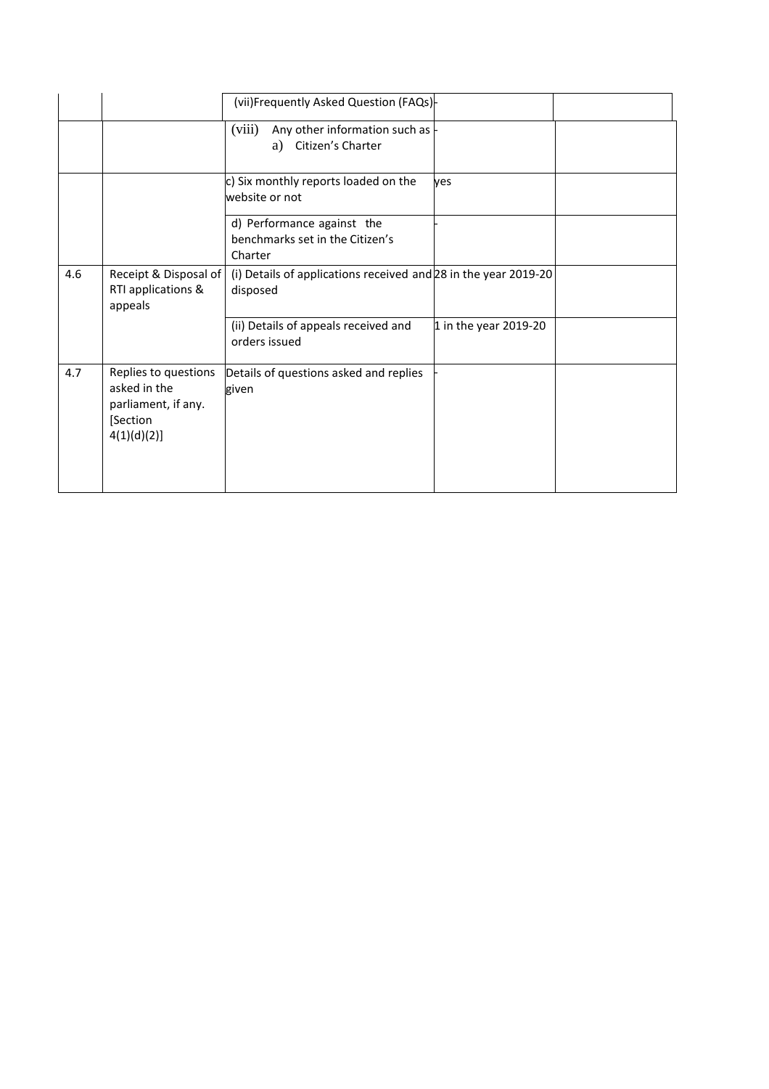|     |                                                                                        | (vii)Frequently Asked Question (FAQs)-                                      |                       |  |
|-----|----------------------------------------------------------------------------------------|-----------------------------------------------------------------------------|-----------------------|--|
|     |                                                                                        | (viii)<br>Any other information such as $\vdash$<br>Citizen's Charter<br>a) |                       |  |
|     |                                                                                        | c) Six monthly reports loaded on the<br>website or not                      | yes                   |  |
|     |                                                                                        | d) Performance against the<br>benchmarks set in the Citizen's<br>Charter    |                       |  |
| 4.6 | Receipt & Disposal of<br>RTI applications &<br>appeals                                 | (i) Details of applications received and 28 in the year 2019-20<br>disposed |                       |  |
|     |                                                                                        | (ii) Details of appeals received and<br>orders issued                       | 1 in the year 2019-20 |  |
| 4.7 | Replies to questions<br>asked in the<br>parliament, if any.<br>[Section<br>4(1)(d)(2)] | Details of questions asked and replies<br>given                             |                       |  |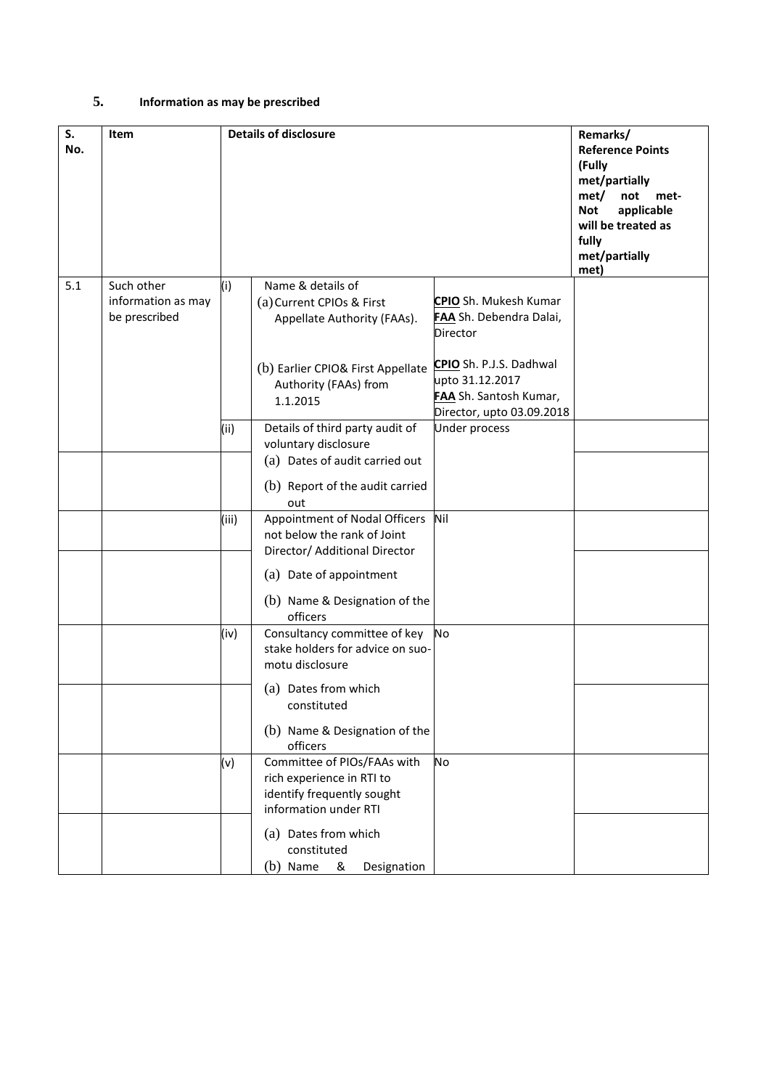# **5. Information as may be prescribed**

| S.<br>No. | Item                                              |       | <b>Details of disclosure</b>                                                                                    |                                                                        | Remarks/<br><b>Reference Points</b><br>(Fully<br>met/partially<br>met/<br>not<br>met-<br>applicable<br><b>Not</b><br>will be treated as |
|-----------|---------------------------------------------------|-------|-----------------------------------------------------------------------------------------------------------------|------------------------------------------------------------------------|-----------------------------------------------------------------------------------------------------------------------------------------|
|           |                                                   |       |                                                                                                                 |                                                                        | fully<br>met/partially<br>met)                                                                                                          |
| 5.1       | Such other<br>information as may<br>be prescribed | (i)   | Name & details of<br>(a) Current CPIOs & First<br>Appellate Authority (FAAs).                                   | CPIO Sh. Mukesh Kumar<br>FAA Sh. Debendra Dalai,<br>Director           |                                                                                                                                         |
|           |                                                   |       | (b) Earlier CPIO& First Appellate CPIO Sh. P.J.S. Dadhwal<br>Authority (FAAs) from<br>1.1.2015                  | upto 31.12.2017<br>FAA Sh. Santosh Kumar,<br>Director, upto 03.09.2018 |                                                                                                                                         |
|           |                                                   | (i)   | Details of third party audit of<br>voluntary disclosure<br>(a) Dates of audit carried out                       | <b>Under process</b>                                                   |                                                                                                                                         |
|           |                                                   |       | (b) Report of the audit carried<br>out                                                                          |                                                                        |                                                                                                                                         |
|           |                                                   | (iii) | Appointment of Nodal Officers<br>not below the rank of Joint<br>Director/ Additional Director                   | Nil                                                                    |                                                                                                                                         |
|           |                                                   |       | (a) Date of appointment<br>(b) Name & Designation of the<br>officers                                            |                                                                        |                                                                                                                                         |
|           |                                                   | (iv)  | Consultancy committee of key<br>stake holders for advice on suo-<br>motu disclosure                             | No                                                                     |                                                                                                                                         |
|           |                                                   |       | (a) Dates from which<br>constituted                                                                             |                                                                        |                                                                                                                                         |
|           |                                                   |       | (b) Name & Designation of the<br>officers                                                                       |                                                                        |                                                                                                                                         |
|           |                                                   | (v)   | Committee of PIOs/FAAs with<br>rich experience in RTI to<br>identify frequently sought<br>information under RTI | No                                                                     |                                                                                                                                         |
|           |                                                   |       | (a) Dates from which<br>constituted<br>(b) Name<br>&<br>Designation                                             |                                                                        |                                                                                                                                         |